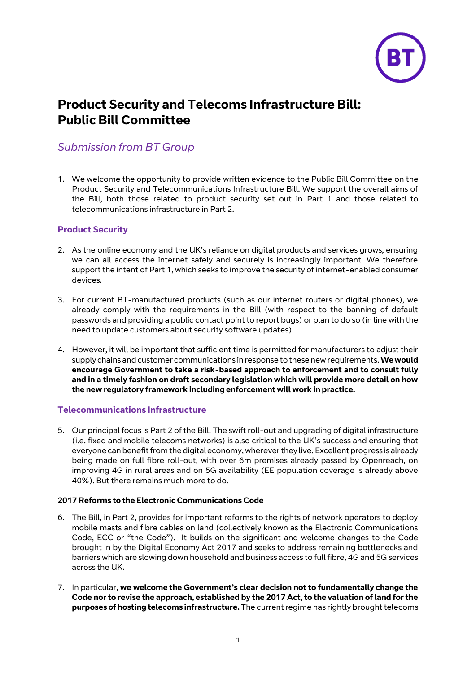

# **Product Security and Telecoms Infrastructure Bill: Public Bill Committee**

## *Submission from BT Group*

1. We welcome the opportunity to provide written evidence to the Public Bill Committee on the Product Security and Telecommunications Infrastructure Bill. We support the overall aims of the Bill, both those related to product security set out in Part 1 and those related to telecommunications infrastructure in Part 2.

### **Product Security**

- 2. As the online economy and the UK's reliance on digital products and services grows, ensuring we can all access the internet safely and securely is increasingly important. We therefore support the intent of Part 1, which seeks to improve the security of internet-enabled consumer devices.
- 3. For current BT-manufactured products (such as our internet routers or digital phones), we already comply with the requirements in the Bill (with respect to the banning of default passwords and providing a public contact point to report bugs) or plan to do so (in line with the need to update customers about security software updates).
- 4. However, it will be important that sufficient time is permitted for manufacturers to adjust their supply chains and customer communications in response to these new requirements. **We would encourage Government to take a risk-based approach to enforcement and to consult fully and in a timely fashion on draft secondary legislation which will provide more detail on how the new regulatory framework including enforcement will work in practice.**

### **Telecommunications Infrastructure**

5. Our principal focus is Part 2 of the Bill. The swift roll-out and upgrading of digital infrastructure (i.e. fixed and mobile telecoms networks) is also critical to the UK's success and ensuring that everyone can benefit from the digital economy, wherever they live. Excellent progress is already being made on full fibre roll-out, with over 6m premises already passed by Openreach, on improving 4G in rural areas and on 5G availability (EE population coverage is already above 40%). But there remains much more to do.

### **2017 Reforms to the Electronic Communications Code**

- 6. The Bill, in Part 2, provides for important reforms to the rights of network operators to deploy mobile masts and fibre cables on land (collectively known as the Electronic Communications Code, ECC or "the Code"). It builds on the significant and welcome changes to the Code brought in by the Digital Economy Act 2017 and seeks to address remaining bottlenecks and barriers which are slowing down household and business access to full fibre, 4G and 5G services across the UK.
- 7. In particular, **we welcome the Government's clear decision not to fundamentally change the Code nor to revise the approach, established by the 2017 Act, to the valuation of land for the purposes of hosting telecoms infrastructure.** The current regime has rightly brought telecoms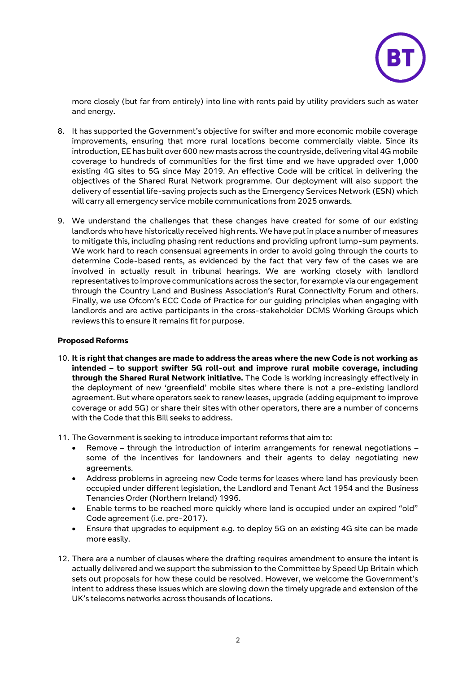

more closely (but far from entirely) into line with rents paid by utility providers such as water and energy.

- 8. It has supported the Government's objective for swifter and more economic mobile coverage improvements, ensuring that more rural locations become commercially viable. Since its introduction, EE has built over 600 new masts across the countryside, delivering vital 4G mobile coverage to hundreds of communities for the first time and we have upgraded over 1,000 existing 4G sites to 5G since May 2019. An effective Code will be critical in delivering the objectives of the Shared Rural Network programme. Our deployment will also support the delivery of essential life-saving projects such as the Emergency Services Network (ESN) which will carry all emergency service mobile communications from 2025 onwards.
- 9. We understand the challenges that these changes have created for some of our existing landlords who have historically received high rents. We have put in place a number of measures to mitigate this, including phasing rent reductions and providing upfront lump-sum payments. We work hard to reach consensual agreements in order to avoid going through the courts to determine Code-based rents, as evidenced by the fact that very few of the cases we are involved in actually result in tribunal hearings. We are working closely with landlord representatives to improve communications across the sector, for example via our engagement through the Country Land and Business Association's Rural Connectivity Forum and others. Finally, we use Ofcom's ECC Code of Practice for our guiding principles when engaging with landlords and are active participants in the cross-stakeholder DCMS Working Groups which reviews this to ensure it remains fit for purpose.

#### **Proposed Reforms**

- 10. **It is right that changes are made to address the areas where the new Code is not working as intended – to support swifter 5G roll-out and improve rural mobile coverage, including through the Shared Rural Network initiative.** The Code is working increasingly effectively in the deployment of new 'greenfield' mobile sites where there is not a pre-existing landlord agreement. But where operators seek to renew leases, upgrade (adding equipment to improve coverage or add 5G) or share their sites with other operators, there are a number of concerns with the Code that this Bill seeks to address.
- 11. The Government is seeking to introduce important reforms that aim to:
	- Remove through the introduction of interim arrangements for renewal negotiations some of the incentives for landowners and their agents to delay negotiating new agreements.
	- Address problems in agreeing new Code terms for leases where land has previously been occupied under different legislation, the Landlord and Tenant Act 1954 and the Business Tenancies Order (Northern Ireland) 1996.
	- Enable terms to be reached more quickly where land is occupied under an expired "old" Code agreement (i.e. pre-2017).
	- Ensure that upgrades to equipment e.g. to deploy 5G on an existing 4G site can be made more easily.
- 12. There are a number of clauses where the drafting requires amendment to ensure the intent is actually delivered and we support the submission to the Committee by Speed Up Britain which sets out proposals for how these could be resolved. However, we welcome the Government's intent to address these issues which are slowing down the timely upgrade and extension of the UK's telecoms networks across thousands of locations.